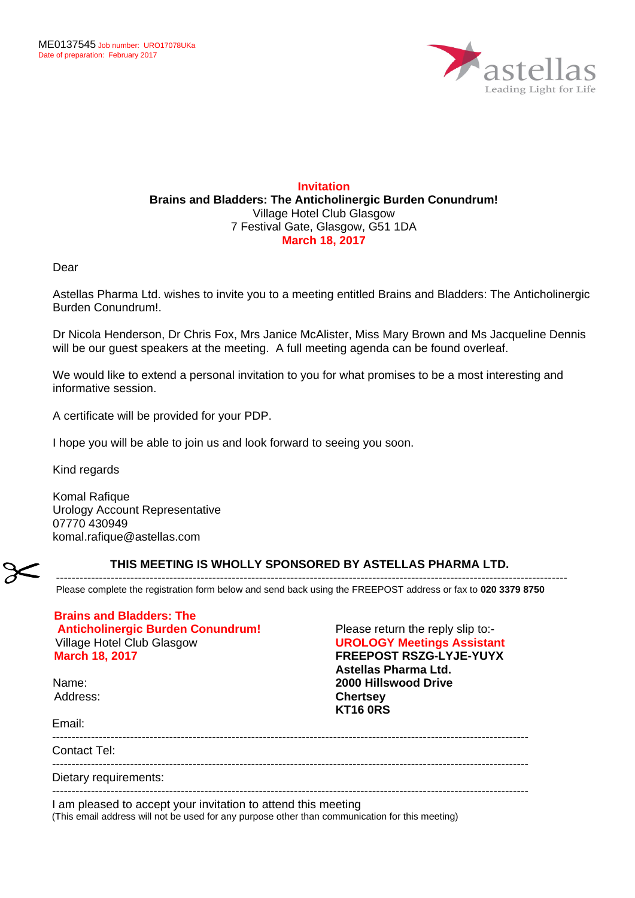

## **Invitation Brains and Bladders: The Anticholinergic Burden Conundrum!** Village Hotel Club Glasgow 7 Festival Gate, Glasgow, G51 1DA **March 18, 2017**

Dear

Astellas Pharma Ltd. wishes to invite you to a meeting entitled Brains and Bladders: The Anticholinergic Burden Conundrum!.

Dr Nicola Henderson, Dr Chris Fox, Mrs Janice McAlister, Miss Mary Brown and Ms Jacqueline Dennis will be our guest speakers at the meeting. A full meeting agenda can be found overleaf.

We would like to extend a personal invitation to you for what promises to be a most interesting and informative session.

A certificate will be provided for your PDP.

I hope you will be able to join us and look forward to seeing you soon.

Kind regards

Komal Rafique Urology Account Representative 07770 430949 komal.rafique@astellas.com

## **THIS MEETING IS WHOLLY SPONSORED BY ASTELLAS PHARMA LTD.**

Please complete the registration form below and send back using the FREEPOST address or fax to **020 3379 8750**

-----------------------------------------------------------------------------------------------------------------------------------

| <b>Brains and Bladders: The</b><br><b>Anticholinergic Burden Conundrum!</b> |
|-----------------------------------------------------------------------------|
| Village Hotel Club Glasgow                                                  |
|                                                                             |
| <b>March 18, 2017</b>                                                       |

Name: Address: Please return the reply slip to:- **UROLOGY Meetings Assistant FREEPOST RSZG-LYJE-YUYX Astellas Pharma Ltd. 2000 Hillswood Drive Chertsey KT16 0RS**

Email:

Contact Tel:

--------------------------------------------------------------------------------------------------------------------------

Dietary requirements:

--------------------------------------------------------------------------------------------------------------------------

I am pleased to accept your invitation to attend this meeting

(This email address will not be used for any purpose other than communication for this meeting)